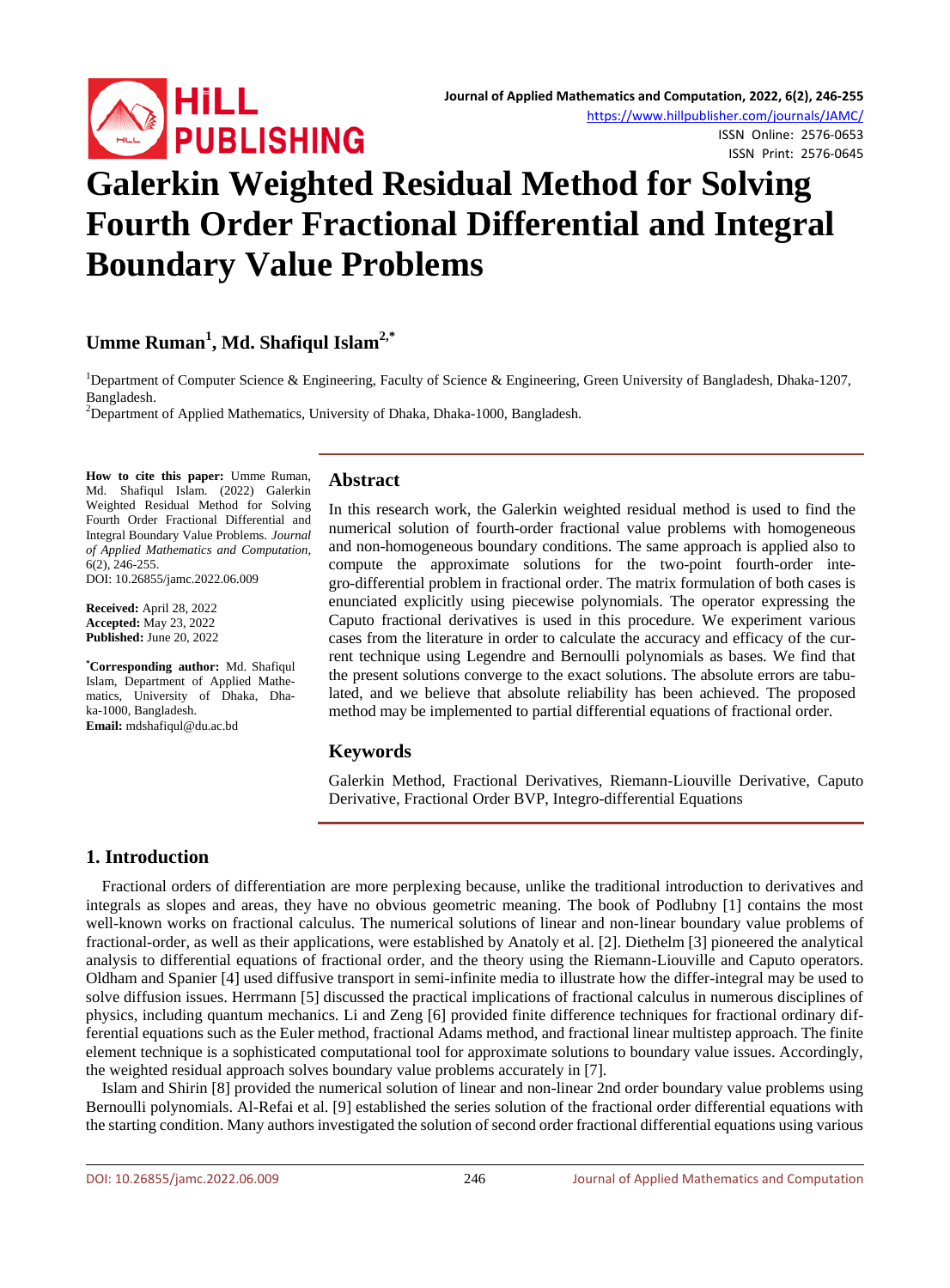

ISSN Online: 2576-0653 ISSN Print: 2576-0645

# **Galerkin Weighted Residual Method for Solving Fourth Order Fractional Differential and Integral Boundary Value Problems**

## **Umme Ruman1 , Md. Shafiqul Islam2,\***

<sup>1</sup>Department of Computer Science & Engineering, Faculty of Science & Engineering, Green University of Bangladesh, Dhaka-1207, Bangladesh. <sup>2</sup>

<sup>2</sup>Department of Applied Mathematics, University of Dhaka, Dhaka-1000, Bangladesh.

**How to cite this paper:** Umme Ruman, Md. Shafiqul Islam. (2022) Galerkin Weighted Residual Method for Solving Fourth Order Fractional Differential and Integral Boundary Value Problems. *Journal of Applied Mathematics and Computation*, 6(2), 246-255.

DOI: 10.26855/jamc.2022.06.009

**Received:** April 28, 2022 **Accepted:** May 23, 2022 **Published:** June 20, 2022

**\* Corresponding author:** Md. Shafiqul Islam, Department of Applied Mathematics, University of Dhaka, Dhaka-1000, Bangladesh. **Email:** mdshafiqul@du.ac.bd

### **Abstract**

In this research work, the Galerkin weighted residual method is used to find the numerical solution of fourth-order fractional value problems with homogeneous and non-homogeneous boundary conditions. The same approach is applied also to compute the approximate solutions for the two-point fourth-order integro-differential problem in fractional order. The matrix formulation of both cases is enunciated explicitly using piecewise polynomials. The operator expressing the Caputo fractional derivatives is used in this procedure. We experiment various cases from the literature in order to calculate the accuracy and efficacy of the current technique using Legendre and Bernoulli polynomials as bases. We find that the present solutions converge to the exact solutions. The absolute errors are tabulated, and we believe that absolute reliability has been achieved. The proposed method may be implemented to partial differential equations of fractional order.

### **Keywords**

Galerkin Method, Fractional Derivatives, Riemann-Liouville Derivative, Caputo Derivative, Fractional Order BVP, Integro-differential Equations

### **1. Introduction**

Fractional orders of differentiation are more perplexing because, unlike the traditional introduction to derivatives and integrals as slopes and areas, they have no obvious geometric meaning. The book of Podlubny [1] contains the most well-known works on fractional calculus. The numerical solutions of linear and non-linear boundary value problems of fractional-order, as well as their applications, were established by Anatoly et al. [2]. Diethelm [3] pioneered the analytical analysis to differential equations of fractional order, and the theory using the Riemann-Liouville and Caputo operators. Oldham and Spanier [4] used diffusive transport in semi-infinite media to illustrate how the differ-integral may be used to solve diffusion issues. Herrmann [5] discussed the practical implications of fractional calculus in numerous disciplines of physics, including quantum mechanics. Li and Zeng [6] provided finite difference techniques for fractional ordinary differential equations such as the Euler method, fractional Adams method, and fractional linear multistep approach. The finite element technique is a sophisticated computational tool for approximate solutions to boundary value issues. Accordingly, the weighted residual approach solves boundary value problems accurately in [7].

Islam and Shirin [8] provided the numerical solution of linear and non-linear 2nd order boundary value problems using Bernoulli polynomials. Al-Refai et al. [9] established the series solution of the fractional order differential equations with the starting condition. Many authors investigated the solution of second order fractional differential equations using various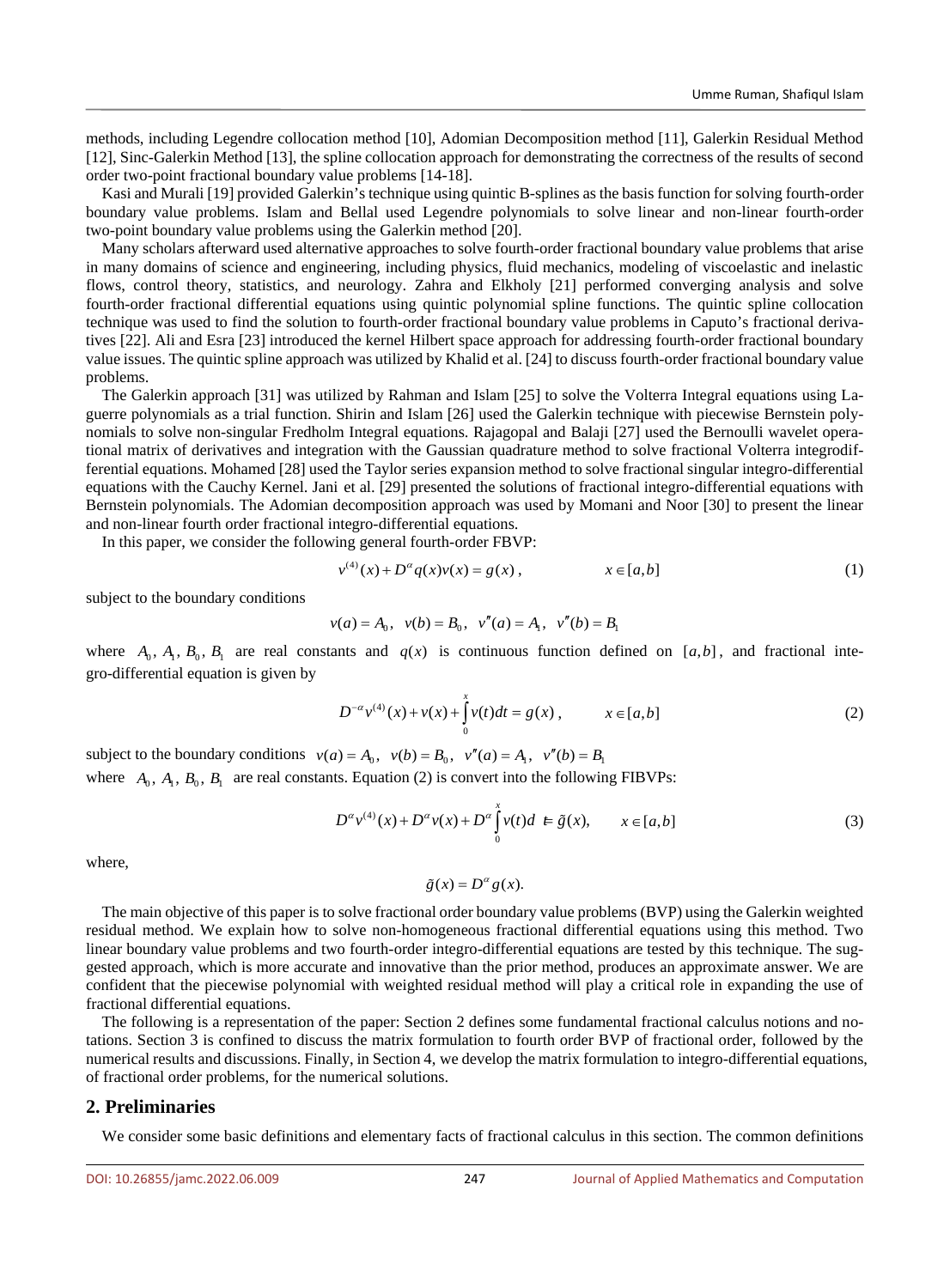methods, including Legendre collocation method [10], Adomian Decomposition method [11], Galerkin Residual Method [12], Sinc-Galerkin Method [13], the spline collocation approach for demonstrating the correctness of the results of second order two-point fractional boundary value problems [14-18].

Kasi and Murali [19] provided Galerkin's technique using quintic B-splines as the basis function for solving fourth-order boundary value problems. Islam and Bellal used Legendre polynomials to solve linear and non-linear fourth-order two-point boundary value problems using the Galerkin method [20].

Many scholars afterward used alternative approaches to solve fourth-order fractional boundary value problems that arise in many domains of science and engineering, including physics, fluid mechanics, modeling of viscoelastic and inelastic flows, control theory, statistics, and neurology. Zahra and Elkholy [21] performed converging analysis and solve fourth-order fractional differential equations using quintic polynomial spline functions. The quintic spline collocation technique was used to find the solution to fourth-order fractional boundary value problems in Caputo's fractional derivatives [22]. Ali and Esra [23] introduced the kernel Hilbert space approach for addressing fourth-order fractional boundary value issues. The quintic spline approach was utilized by Khalid et al. [24] to discuss fourth-order fractional boundary value problems.

The Galerkin approach [31] was utilized by Rahman and Islam [25] to solve the Volterra Integral equations using Laguerre polynomials as a trial function. Shirin and Islam [26] used the Galerkin technique with piecewise Bernstein polynomials to solve non-singular Fredholm Integral equations. Rajagopal and Balaji [27] used the Bernoulli wavelet operational matrix of derivatives and integration with the Gaussian quadrature method to solve fractional Volterra integrodifferential equations. Mohamed [28] used the Taylor series expansion method to solve fractional singular integro-differential equations with the Cauchy Kernel. Jani et al. [29] presented the solutions of fractional integro-differential equations with Bernstein polynomials. The Adomian decomposition approach was used by Momani and Noor [30] to present the linear and non-linear fourth order fractional integro-differential equations.

In this paper, we consider the following general fourth-order FBVP:

$$
v^{(4)}(x) + D^{\alpha} q(x)v(x) = g(x), \qquad x \in [a, b]
$$
 (1)

subject to the boundary conditions

$$
v(a) = A_0
$$
,  $v(b) = B_0$ ,  $v''(a) = A_1$ ,  $v''(b) = B_1$ 

where  $A_0, A_1, B_0, B_1$  are real constants and  $q(x)$  is continuous function defined on [a,b], and fractional integro-differential equation is given by

$$
D^{-\alpha}v^{(4)}(x) + v(x) + \int_{0}^{x} v(t)dt = g(x), \qquad x \in [a, b]
$$
 (2)

subject to the boundary conditions  $v(a) = A_0$ ,  $v(b) = B_0$ ,  $v''(a) = A_1$ ,  $v''(b) = B_1$ where  $A_0$ ,  $A_1$ ,  $B_0$ ,  $B_1$  are real constants. Equation (2) is convert into the following FIBVPs:

$$
D^{\alpha}v^{(4)}(x) + D^{\alpha}v(x) + D^{\alpha}\int_{0}^{x}v(t)dt \in \tilde{g}(x), \qquad x \in [a,b]
$$
 (3)

where,

$$
\tilde{g}(x) = D^{\alpha} g(x).
$$

The main objective of this paper is to solve fractional order boundary value problems (BVP) using the Galerkin weighted residual method. We explain how to solve non-homogeneous fractional differential equations using this method. Two linear boundary value problems and two fourth-order integro-differential equations are tested by this technique. The suggested approach, which is more accurate and innovative than the prior method, produces an approximate answer. We are confident that the piecewise polynomial with weighted residual method will play a critical role in expanding the use of fractional differential equations.

The following is a representation of the paper: Section 2 defines some fundamental fractional calculus notions and notations. Section 3 is confined to discuss the matrix formulation to fourth order BVP of fractional order, followed by the numerical results and discussions. Finally, in Section 4, we develop the matrix formulation to integro-differential equations, of fractional order problems, for the numerical solutions.

### **2. Preliminaries**

We consider some basic definitions and elementary facts of fractional calculus in this section. The common definitions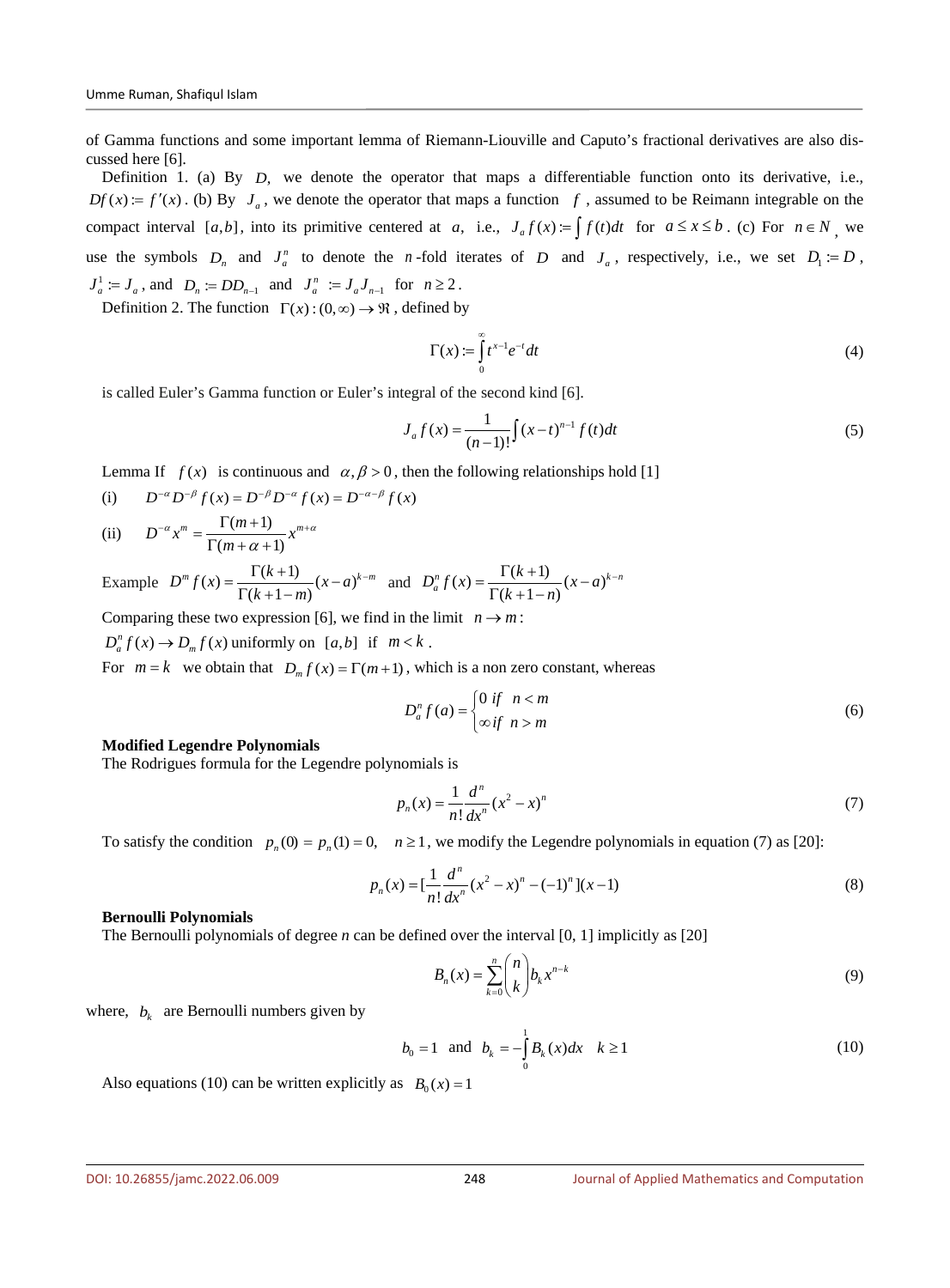of Gamma functions and some important lemma of Riemann-Liouville and Caputo's fractional derivatives are also discussed here [6].

Definition 1. (a) By *D*, we denote the operator that maps a differentiable function onto its derivative, i.e.,  $Df(x) = f'(x)$ . (b) By  $J_a$ , we denote the operator that maps a function  $f$ , assumed to be Reimann integrable on the compact interval [a,b], into its primitive centered at *a*, i.e.,  $J_a f(x) = \int f(t) dt$  for  $a \le x \le b$ . (c) For  $n \in N$  we use the symbols  $D_n$  and  $J_a^n$  to denote the *n*-fold iterates of *D* and  $J_a$ , respectively, i.e., we set  $D_1 := D$ ,  $J_a^1 := J_a$ , and  $D_n := DD_{n-1}$  and  $J_a^n := J_a J_{n-1}$  for  $n \ge 2$ .

Definition 2. The function  $\Gamma(x) : (0, \infty) \to \mathcal{R}$ , defined by

$$
\Gamma(x) := \int_{0}^{\infty} t^{x-1} e^{-t} dt
$$
\n(4)

is called Euler's Gamma function or Euler's integral of the second kind [6].

$$
J_a f(x) = \frac{1}{(n-1)!} \int (x-t)^{n-1} f(t) dt
$$
 (5)

Lemma If  $f(x)$  is continuous and  $\alpha, \beta > 0$ , then the following relationships hold [1]

(i) 
$$
D^{-\alpha}D^{-\beta}f(x) = D^{-\beta}D^{-\alpha}f(x) = D^{-\alpha-\beta}f(x)
$$

(ii) 
$$
D^{-\alpha} x^m = \frac{\Gamma(m+1)}{\Gamma(m+\alpha+1)} x^{m+\alpha}
$$

Example  $D^m f(x) = \frac{\Gamma(k+1)}{\Gamma(k+1-m)} (x-a)^{k-m}$  $=\frac{\Gamma(k+1)}{\Gamma(k+1-m)}(x-a)^{k-m}$  and  $D_a^n f(x) = \frac{\Gamma(k+1)}{\Gamma(k+1-n)}(x-a)^{k-n}$  $=\frac{\Gamma(k+1)}{\Gamma(k+1-n)}(x-a)^{k-1}$ 

Comparing these two expression [6], we find in the limit  $n \rightarrow m$ :

 $D_{a}^{n} f(x) \rightarrow D_{m} f(x)$  uniformly on [a,b] if  $m < k$ .

For  $m = k$  we obtain that  $D_m f(x) = \Gamma(m+1)$ , which is a non zero constant, whereas

$$
D_{a}^{n} f(a) = \begin{cases} 0 & \text{if } n < m \\ \infty & \text{if } n > m \end{cases}
$$
 (6)

### **Modified Legendre Polynomials**

The Rodrigues formula for the Legendre polynomials is

$$
p_n(x) = \frac{1}{n!} \frac{d^n}{dx^n} (x^2 - x)^n
$$
 (7)

To satisfy the condition  $p_n(0) = p_n(1) = 0$ ,  $n \ge 1$ , we modify the Legendre polynomials in equation (7) as [20]:

$$
p_n(x) = \left[\frac{1}{n!} \frac{d^n}{dx^n} (x^2 - x)^n - (-1)^n\right] (x - 1)
$$
\n(8)

### **Bernoulli Polynomials**

The Bernoulli polynomials of degree *n* can be defined over the interval [0, 1] implicitly as [20]

$$
B_n(x) = \sum_{k=0}^n {n \choose k} b_k x^{n-k}
$$
 (9)

where,  $b_k$  are Bernoulli numbers given by

$$
b_0 = 1 \text{ and } b_k = -\int_0^1 B_k(x)dx \quad k \ge 1
$$
 (10)

Also equations (10) can be written explicitly as  $B_0(x) = 1$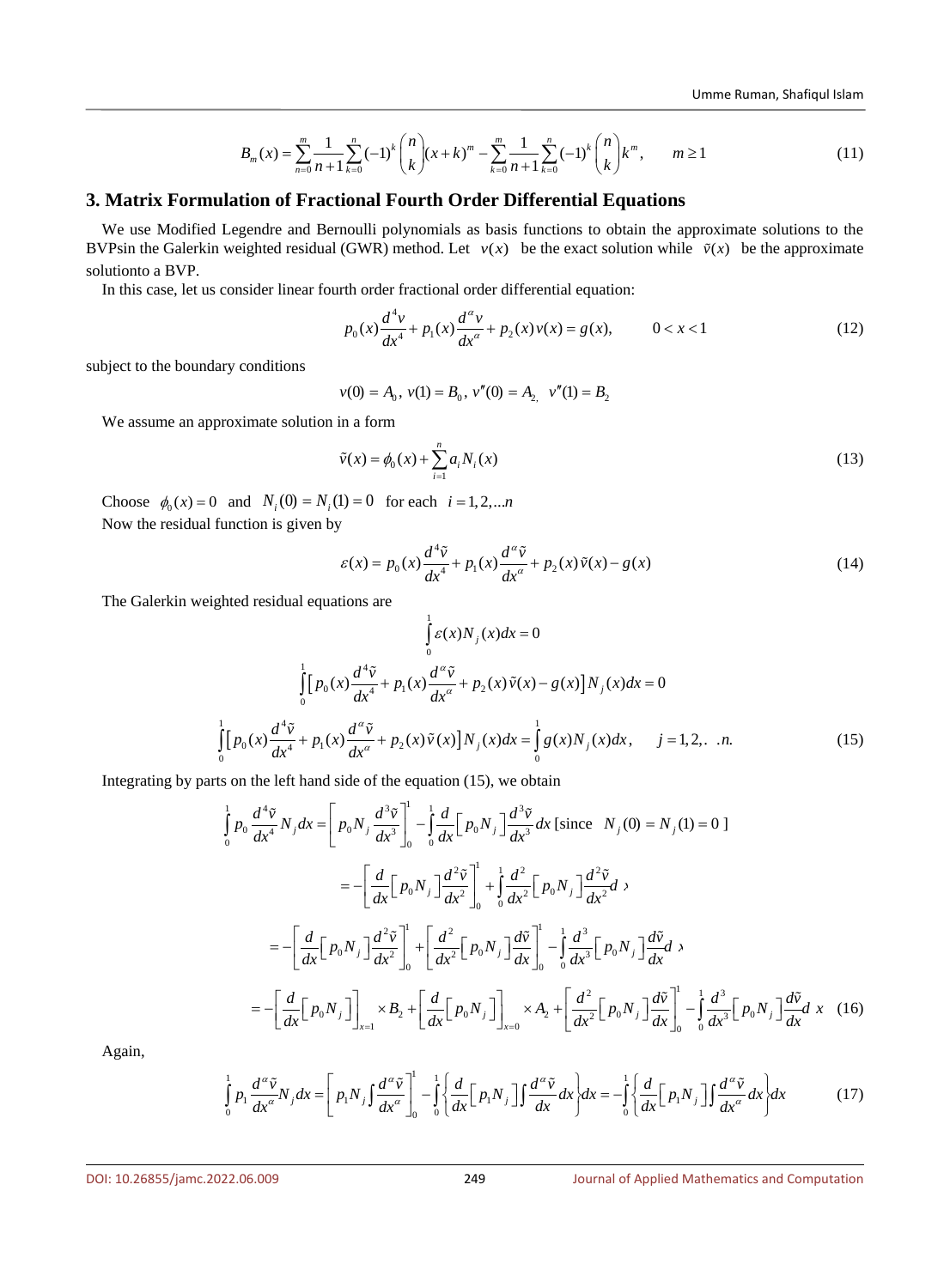$$
B_m(x) = \sum_{n=0}^{m} \frac{1}{n+1} \sum_{k=0}^{n} (-1)^k {n \choose k} (x+k)^m - \sum_{k=0}^{m} \frac{1}{n+1} \sum_{k=0}^{n} (-1)^k {n \choose k} k^m, \qquad m \ge 1
$$
 (11)

### **3. Matrix Formulation of Fractional Fourth Order Differential Equations**

We use Modified Legendre and Bernoulli polynomials as basis functions to obtain the approximate solutions to the BVPsin the Galerkin weighted residual (GWR) method. Let  $v(x)$  be the exact solution while  $\tilde{v}(x)$  be the approximate solutionto a BVP.

In this case, let us consider linear fourth order fractional order differential equation:

$$
p_0(x)\frac{d^4v}{dx^4} + p_1(x)\frac{d^{\alpha}v}{dx^{\alpha}} + p_2(x)v(x) = g(x), \qquad 0 < x < 1 \tag{12}
$$

subject to the boundary conditions

$$
v(0) = A_0, v(1) = B_0, v''(0) = A_2, v''(1) = B_2
$$

We assume an approximate solution in a form

$$
\tilde{v}(x) = \phi_0(x) + \sum_{i=1}^{n} a_i N_i(x)
$$
\n(13)

Choose  $\phi_0(x) = 0$  and  $N_i(0) = N_i(1) = 0$  for each  $i = 1, 2, ...n$ Now the residual function is given by

$$
\varepsilon(x) = p_0(x)\frac{d^4\tilde{v}}{dx^4} + p_1(x)\frac{d^{\alpha}\tilde{v}}{dx^{\alpha}} + p_2(x)\tilde{v}(x) - g(x)
$$
\n(14)

The Galerkin weighted residual equations are

$$
\int_{0}^{1} \varepsilon(x) N_{j}(x) dx = 0
$$
\n
$$
\int_{0}^{1} [p_{0}(x) \frac{d^{4} \tilde{v}}{dx^{4}} + p_{1}(x) \frac{d^{a} \tilde{v}}{dx^{a}} + p_{2}(x) \tilde{v}(x) - g(x)] N_{j}(x) dx = 0
$$
\n
$$
\int_{0}^{1} [p_{0}(x) \frac{d^{4} \tilde{v}}{dx^{4}} + p_{1}(x) \frac{d^{a} \tilde{v}}{dx^{a}} + p_{2}(x) \tilde{v}(x)] N_{j}(x) dx = \int_{0}^{1} g(x) N_{j}(x) dx, \quad j = 1, 2, \dots n.
$$
\n(15)

Integrating by parts on the left hand side of the equation (15), we obtain

$$
\int_{0}^{1} p_{0} \frac{d^{4} \tilde{v}}{dx^{4}} N_{j} dx = \left[ p_{0} N_{j} \frac{d^{3} \tilde{v}}{dx^{3}} \right]_{0}^{1} - \int_{0}^{1} \frac{d}{dx} \left[ p_{0} N_{j} \right] \frac{d^{3} \tilde{v}}{dx^{3}} dx \text{ [since } N_{j}(0) = N_{j}(1) = 0 \text{]}
$$
\n
$$
= -\left[ \frac{d}{dx} \left[ p_{0} N_{j} \right] \frac{d^{2} \tilde{v}}{dx^{2}} \right]_{0}^{1} + \int_{0}^{1} \frac{d^{2} \tilde{v}}{dx^{2}} \left[ p_{0} N_{j} \right] \frac{d^{2} \tilde{v}}{dx^{2}} dx
$$
\n
$$
= -\left[ \frac{d}{dx} \left[ p_{0} N_{j} \right] \frac{d^{2} \tilde{v}}{dx^{2}} \right]_{0}^{1} + \left[ \frac{d^{2}}{dx^{2}} \left[ p_{0} N_{j} \right] \frac{d\tilde{v}}{dx} \right]_{0}^{1} - \int_{0}^{1} \frac{d^{3}}{dx^{3}} \left[ p_{0} N_{j} \right] \frac{d\tilde{v}}{dx} dx
$$
\n
$$
= -\left[ \frac{d}{dx} \left[ p_{0} N_{j} \right] \right]_{x=1}^{1} \times B_{2} + \left[ \frac{d}{dx} \left[ p_{0} N_{j} \right] \right]_{x=0}^{1} \times A_{2} + \left[ \frac{d^{2}}{dx^{2}} \left[ p_{0} N_{j} \right] \frac{d\tilde{v}}{dx} \right]_{0}^{1} - \int_{0}^{1} \frac{d^{3}}{dx^{3}} \left[ p_{0} N_{j} \right] \frac{d\tilde{v}}{dx} dx \quad (16)
$$

Again,

$$
\int_{0}^{1} p_1 \frac{d^{\alpha} \tilde{v}}{dx^{\alpha}} N_j dx = \left[ p_1 N_j \int \frac{d^{\alpha} \tilde{v}}{dx^{\alpha}} \right]_{0}^{1} - \int_{0}^{1} \left\{ \frac{d}{dx} \left[ p_1 N_j \right] \int \frac{d^{\alpha} \tilde{v}}{dx} dx \right\} dx = -\int_{0}^{1} \left\{ \frac{d}{dx} \left[ p_1 N_j \right] \int \frac{d^{\alpha} \tilde{v}}{dx^{\alpha}} dx \right\} dx \tag{17}
$$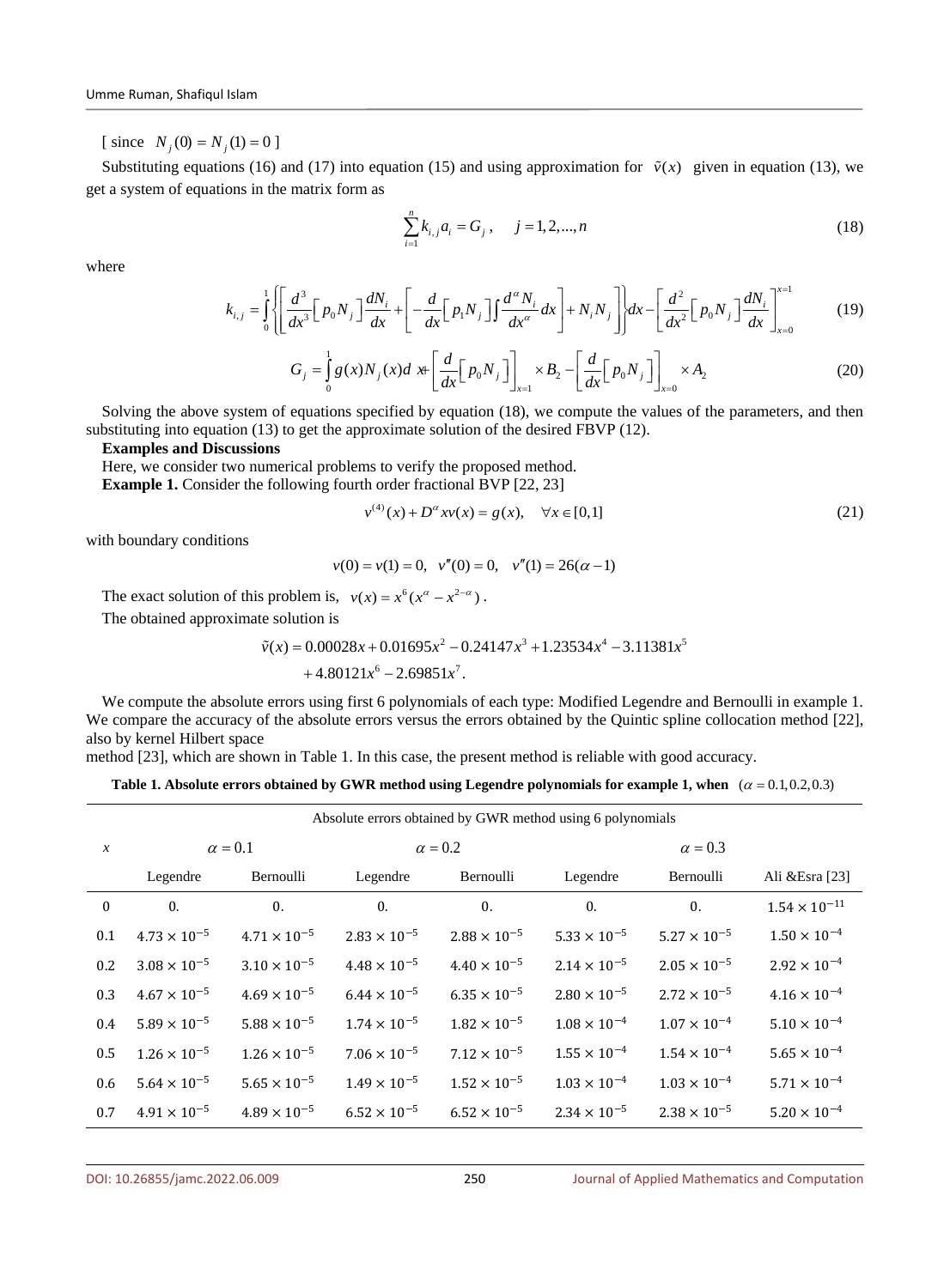[ since  $N_j(0) = N_j(1) = 0$  ]

Substituting equations (16) and (17) into equation (15) and using approximation for  $\tilde{v}(x)$  given in equation (13), we get a system of equations in the matrix form as

$$
\sum_{i=1}^{n} k_{i,j} a_i = G_j, \quad j = 1, 2, ..., n
$$
\n(18)

where

$$
k_{i,j} = \int_0^1 \left\{ \left[ \frac{d^3}{dx^3} \left[ p_0 N_j \right] \frac{dN_i}{dx} + \left[ -\frac{d}{dx} \left[ p_1 N_j \right] \right] \frac{d^{\alpha} N_i}{dx^{\alpha}} dx \right] + N_i N_j \right\} dx - \left[ \frac{d^2}{dx^2} \left[ p_0 N_j \right] \frac{dN_i}{dx} \right]_{x=0}^{x=1}
$$
(19)

$$
G_j = \int_0^1 g(x) N_j(x) dx + \left[ \frac{d}{dx} \left[ p_0 N_j \right] \right]_{x=1} \times B_2 - \left[ \frac{d}{dx} \left[ p_0 N_j \right] \right]_{x=0} \times A_2 \tag{20}
$$

Solving the above system of equations specified by equation (18), we compute the values of the parameters, and then substituting into equation (13) to get the approximate solution of the desired FBVP (12).

**Examples and Discussions**

Here, we consider two numerical problems to verify the proposed method.

**Example 1.** Consider the following fourth order fractional BVP [22, 23]

$$
v^{(4)}(x) + D^{\alpha}xv(x) = g(x), \quad \forall x \in [0,1]
$$
\n(21)

with boundary conditions

$$
v(0) = v(1) = 0
$$
,  $v''(0) = 0$ ,  $v''(1) = 26(\alpha - 1)$ 

The exact solution of this problem is,  $v(x) = x^6 (x^{\alpha} - x^{2-\alpha})$ .

The obtained approximate solution is

$$
\tilde{v}(x) = 0.00028x + 0.01695x^2 - 0.24147x^3 + 1.23534x^4 - 3.11381x^5
$$

$$
+4.80121x^6 - 2.69851x^7
$$
.

We compute the absolute errors using first 6 polynomials of each type: Modified Legendre and Bernoulli in example 1. We compare the accuracy of the absolute errors versus the errors obtained by the Quintic spline collocation method [22], also by kernel Hilbert space

method [23], which are shown in Table 1. In this case, the present method is reliable with good accuracy.

| Table 1. Absolute errors obtained by GWR method using Legendre polynomials for example 1, when $(\alpha = 0.1, 0.2, 0.3)$ |  |  |  |  |
|---------------------------------------------------------------------------------------------------------------------------|--|--|--|--|
|---------------------------------------------------------------------------------------------------------------------------|--|--|--|--|

| Absolute errors obtained by GWR method using 6 polynomials |                       |                       |                       |                       |                       |                       |                       |  |  |
|------------------------------------------------------------|-----------------------|-----------------------|-----------------------|-----------------------|-----------------------|-----------------------|-----------------------|--|--|
| $\mathcal{X}$                                              |                       | $\alpha = 0.1$        |                       | $\alpha = 0.2$        | $\alpha = 0.3$        |                       |                       |  |  |
|                                                            | Legendre              | Bernoulli             | Legendre              | Bernoulli             | Legendre              | Bernoulli             | Ali & Esra [23]       |  |  |
| $\mathbf{0}$                                               | $\mathbf{0}$ .        | $\mathbf{0}$ .        | $\mathbf{0}$ .        | $\mathbf{0}$ .        | $\mathbf{0}$ .        | $\mathbf{0}$ .        | $1.54\times10^{-11}$  |  |  |
| 0.1                                                        | $4.73 \times 10^{-5}$ | $4.71 \times 10^{-5}$ | $2.83 \times 10^{-5}$ | $2.88 \times 10^{-5}$ | $5.33 \times 10^{-5}$ | $5.27 \times 10^{-5}$ | $1.50 \times 10^{-4}$ |  |  |
| 0.2                                                        | $3.08 \times 10^{-5}$ | $3.10 \times 10^{-5}$ | $4.48 \times 10^{-5}$ | $4.40 \times 10^{-5}$ | $2.14 \times 10^{-5}$ | $2.05 \times 10^{-5}$ | $2.92 \times 10^{-4}$ |  |  |
| 0.3                                                        | $4.67 \times 10^{-5}$ | $4.69 \times 10^{-5}$ | $6.44 \times 10^{-5}$ | $6.35 \times 10^{-5}$ | $2.80 \times 10^{-5}$ | $2.72 \times 10^{-5}$ | $4.16 \times 10^{-4}$ |  |  |
| 0.4                                                        | $5.89 \times 10^{-5}$ | $5.88\times10^{-5}$   | $1.74 \times 10^{-5}$ | $1.82 \times 10^{-5}$ | $1.08 \times 10^{-4}$ | $1.07 \times 10^{-4}$ | $5.10 \times 10^{-4}$ |  |  |
| 0.5                                                        | $1.26 \times 10^{-5}$ | $1.26 \times 10^{-5}$ | $7.06 \times 10^{-5}$ | $7.12 \times 10^{-5}$ | $1.55 \times 10^{-4}$ | $1.54 \times 10^{-4}$ | $5.65 \times 10^{-4}$ |  |  |
| 0.6                                                        | $5.64 \times 10^{-5}$ | $5.65 \times 10^{-5}$ | $1.49 \times 10^{-5}$ | $1.52 \times 10^{-5}$ | $1.03 \times 10^{-4}$ | $1.03 \times 10^{-4}$ | $5.71 \times 10^{-4}$ |  |  |
| 0.7                                                        | $4.91 \times 10^{-5}$ | $4.89 \times 10^{-5}$ | $6.52 \times 10^{-5}$ | $6.52 \times 10^{-5}$ | $2.34 \times 10^{-5}$ | $2.38 \times 10^{-5}$ | $5.20 \times 10^{-4}$ |  |  |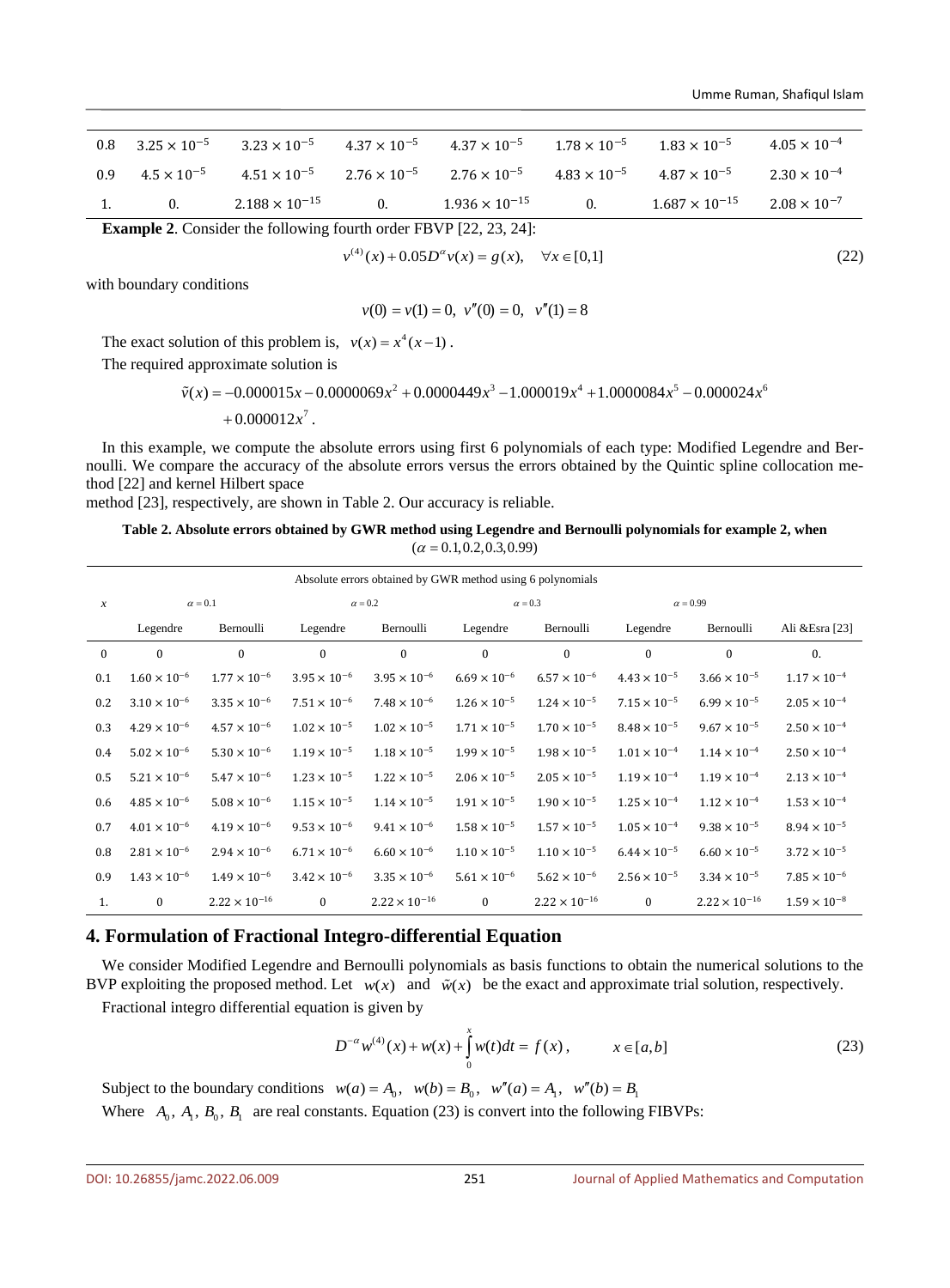| $0.8\,$ | $3.25 \times 10^{-5}$ |                         |    | $3.23 \times 10^{-5}$ $4.37 \times 10^{-5}$ $4.37 \times 10^{-5}$ $1.78 \times 10^{-5}$                      |    | $1.83 \times 10^{-5}$   | $4.05 \times 10^{-4}$ |
|---------|-----------------------|-------------------------|----|--------------------------------------------------------------------------------------------------------------|----|-------------------------|-----------------------|
| 0.9     |                       |                         |    | $4.5 \times 10^{-5}$ $4.51 \times 10^{-5}$ $2.76 \times 10^{-5}$ $2.76 \times 10^{-5}$ $4.83 \times 10^{-5}$ |    | $4.87 \times 10^{-5}$   | $2.30 \times 10^{-4}$ |
|         | 0.                    | $2.188 \times 10^{-15}$ | 0. | $1.936 \times 10^{-15}$                                                                                      | 0. | $1.687 \times 10^{-15}$ | $2.08 \times 10^{-7}$ |

**Example 2**. Consider the following fourth order FBVP [22, 23, 24]:

$$
v^{(4)}(x) + 0.05D^{\alpha}v(x) = g(x), \quad \forall x \in [0,1]
$$
\n(22)

with boundary conditions

$$
v(0) = v(1) = 0
$$
,  $v''(0) = 0$ ,  $v''(1) = 8$ 

The exact solution of this problem is,  $v(x) = x^4 (x - 1)$ .

The required approximate solution is

$$
\tilde{v}(x) = -0.000015x - 0.0000069x^{2} + 0.0000449x^{3} - 1.000019x^{4} + 1.0000084x^{5} - 0.000024x^{6} + 0.000012x^{7}.
$$

In this example, we compute the absolute errors using first 6 polynomials of each type: Modified Legendre and Bernoulli. We compare the accuracy of the absolute errors versus the errors obtained by the Quintic spline collocation method [22] and kernel Hilbert space

method [23], respectively, are shown in Table 2. Our accuracy is reliable.

### **Table 2. Absolute errors obtained by GWR method using Legendre and Bernoulli polynomials for example 2, when**   $(\alpha = 0.1, 0.2, 0.3, 0.99)$

| Absolute errors obtained by GWR method using 6 polynomials |                       |                       |                       |                        |                       |                        |                       |                        |                       |  |  |  |
|------------------------------------------------------------|-----------------------|-----------------------|-----------------------|------------------------|-----------------------|------------------------|-----------------------|------------------------|-----------------------|--|--|--|
| $\boldsymbol{x}$                                           | $\alpha = 0.1$        |                       |                       | $\alpha = 0.2$         |                       | $\alpha = 0.3$         | $\alpha = 0.99$       |                        |                       |  |  |  |
|                                                            | Legendre              | Bernoulli             | Legendre              | Bernoulli              | Legendre              | Bernoulli              | Legendre              | Bernoulli              | Ali & Esra [23]       |  |  |  |
| $\mathbf{0}$                                               | $\mathbf{0}$          | $\Omega$              | $\theta$              | $\mathbf{0}$           | $\mathbf{0}$          | $\mathbf{0}$           | $\mathbf{0}$          | $\theta$               | $\mathbf{0}$ .        |  |  |  |
| 0.1                                                        | $1.60 \times 10^{-6}$ | $1.77 \times 10^{-6}$ | $3.95 \times 10^{-6}$ | $3.95 \times 10^{-6}$  | $6.69 \times 10^{-6}$ | $6.57 \times 10^{-6}$  | $4.43 \times 10^{-5}$ | $3.66 \times 10^{-5}$  | $1.17 \times 10^{-4}$ |  |  |  |
| 0.2                                                        | $3.10 \times 10^{-6}$ | $3.35 \times 10^{-6}$ | $7.51 \times 10^{-6}$ | $7.48 \times 10^{-6}$  | $1.26 \times 10^{-5}$ | $1.24 \times 10^{-5}$  | $7.15 \times 10^{-5}$ | $6.99 \times 10^{-5}$  | $2.05 \times 10^{-4}$ |  |  |  |
| 0.3                                                        | $4.29 \times 10^{-6}$ | $4.57 \times 10^{-6}$ | $1.02 \times 10^{-5}$ | $1.02 \times 10^{-5}$  | $1.71 \times 10^{-5}$ | $1.70 \times 10^{-5}$  | $8.48 \times 10^{-5}$ | $9.67 \times 10^{-5}$  | $2.50 \times 10^{-4}$ |  |  |  |
| 0.4                                                        | $5.02 \times 10^{-6}$ | $5.30 \times 10^{-6}$ | $1.19 \times 10^{-5}$ | $1.18 \times 10^{-5}$  | $1.99 \times 10^{-5}$ | $1.98 \times 10^{-5}$  | $1.01 \times 10^{-4}$ | $1.14 \times 10^{-4}$  | $2.50 \times 10^{-4}$ |  |  |  |
| 0.5                                                        | $5.21 \times 10^{-6}$ | $5.47 \times 10^{-6}$ | $1.23 \times 10^{-5}$ | $1.22 \times 10^{-5}$  | $2.06 \times 10^{-5}$ | $2.05 \times 10^{-5}$  | $1.19 \times 10^{-4}$ | $1.19 \times 10^{-4}$  | $2.13 \times 10^{-4}$ |  |  |  |
| 0.6                                                        | $4.85 \times 10^{-6}$ | $5.08 \times 10^{-6}$ | $1.15 \times 10^{-5}$ | $1.14 \times 10^{-5}$  | $1.91 \times 10^{-5}$ | $1.90 \times 10^{-5}$  | $1.25 \times 10^{-4}$ | $1.12 \times 10^{-4}$  | $1.53 \times 10^{-4}$ |  |  |  |
| 0.7                                                        | $4.01 \times 10^{-6}$ | $4.19 \times 10^{-6}$ | $9.53 \times 10^{-6}$ | $9.41 \times 10^{-6}$  | $1.58 \times 10^{-5}$ | $1.57 \times 10^{-5}$  | $1.05 \times 10^{-4}$ | $9.38 \times 10^{-5}$  | $8.94 \times 10^{-5}$ |  |  |  |
| 0.8                                                        | $2.81 \times 10^{-6}$ | $2.94 \times 10^{-6}$ | $6.71 \times 10^{-6}$ | $6.60 \times 10^{-6}$  | $1.10 \times 10^{-5}$ | $1.10 \times 10^{-5}$  | $6.44 \times 10^{-5}$ | $6.60 \times 10^{-5}$  | $3.72 \times 10^{-5}$ |  |  |  |
| 0.9                                                        | $1.43 \times 10^{-6}$ | $1.49 \times 10^{-6}$ | $3.42 \times 10^{-6}$ | $3.35 \times 10^{-6}$  | $5.61 \times 10^{-6}$ | $5.62 \times 10^{-6}$  | $2.56 \times 10^{-5}$ | $3.34 \times 10^{-5}$  | $7.85 \times 10^{-6}$ |  |  |  |
| 1.                                                         | $\mathbf{0}$          | $2.22\times10^{-16}$  | $\mathbf{0}$          | $2.22 \times 10^{-16}$ | $\mathbf{0}$          | $2.22 \times 10^{-16}$ | $\theta$              | $2.22 \times 10^{-16}$ | $1.59 \times 10^{-8}$ |  |  |  |

### **4. Formulation of Fractional Integro-differential Equation**

We consider Modified Legendre and Bernoulli polynomials as basis functions to obtain the numerical solutions to the BVP exploiting the proposed method. Let  $w(x)$  and  $\tilde{w}(x)$  be the exact and approximate trial solution, respectively.

Fractional integro differential equation is given by

$$
D^{-\alpha}w^{(4)}(x) + w(x) + \int_{0}^{x} w(t)dt = f(x), \qquad x \in [a, b]
$$
 (23)

Subject to the boundary conditions  $w(a) = A_0$ ,  $w(b) = B_0$ ,  $w''(a) = A_1$ ,  $w''(b) = B_1$ Where  $A_0$ ,  $A_1$ ,  $B_0$ ,  $B_1$  are real constants. Equation (23) is convert into the following FIBVPs: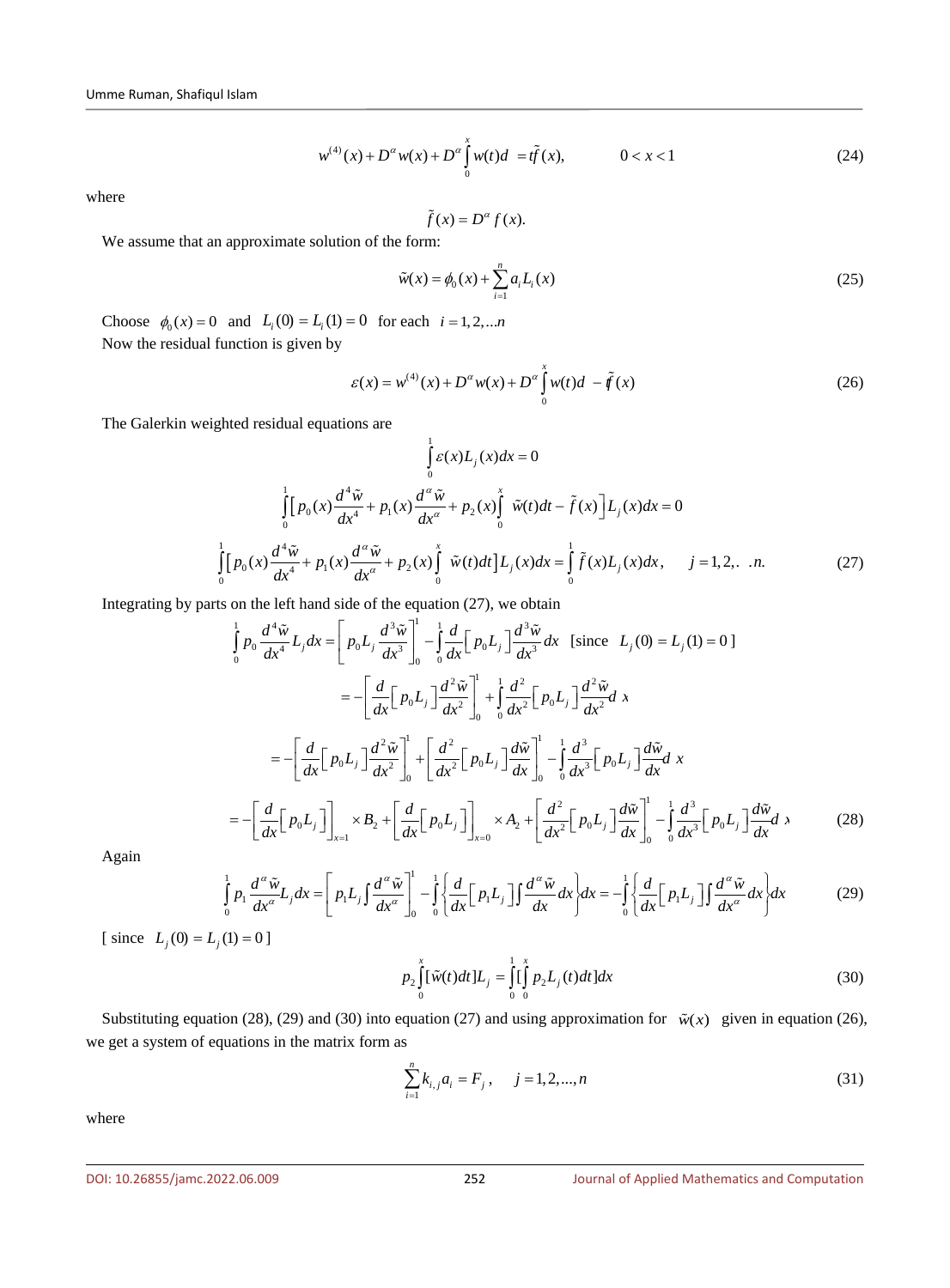$$
w^{(4)}(x) + D^{\alpha}w(x) + D^{\alpha}\int_{0}^{x} w(t)d = t\tilde{f}(x), \qquad 0 < x < 1
$$
 (24)

where

$$
\tilde{f}(x) = D^{\alpha} f(x).
$$

We assume that an approximate solution of the form:

$$
\tilde{w}(x) = \phi_0(x) + \sum_{i=1}^{n} a_i L_i(x)
$$
\n(25)

Choose  $\phi_0(x) = 0$  and  $L_i(0) = L_i(1) = 0$  for each  $i = 1, 2, ...$ *n* Now the residual function is given by

$$
\varepsilon(x) = w^{(4)}(x) + D^{\alpha}w(x) + D^{\alpha}\int_{0}^{x} w(t)d - \tilde{f}(x)
$$
 (26)

The Galerkin weighted residual equations are

$$
\int_{0}^{1} \varepsilon(x)L_{j}(x)dx = 0
$$
\n
$$
\int_{0}^{1} [p_{0}(x)\frac{d^{4}\tilde{w}}{dx^{4}} + p_{1}(x)\frac{d^{a}\tilde{w}}{dx^{a}} + p_{2}(x)\int_{0}^{x} \tilde{w}(t)dt - \tilde{f}(x)\Big]L_{j}(x)dx = 0
$$
\n
$$
\int_{0}^{1} [p_{0}(x)\frac{d^{4}\tilde{w}}{dx^{4}} + p_{1}(x)\frac{d^{a}\tilde{w}}{dx^{a}} + p_{2}(x)\int_{0}^{x} \tilde{w}(t)dt]L_{j}(x)dx = \int_{0}^{1} \tilde{f}(x)L_{j}(x)dx, \quad j = 1, 2, ... n.
$$
\n(27)

Integrating by parts on the left hand side of the equation (27), we obtain

$$
\int_{0}^{1} p_{0} \frac{d^{4} \tilde{w}}{dx^{4}} L_{j} dx = \left[ p_{0} L_{j} \frac{d^{3} \tilde{w}}{dx^{3}} \right]_{0}^{1} - \int_{0}^{1} \frac{d}{dx} \left[ p_{0} L_{j} \right] \frac{d^{3} \tilde{w}}{dx^{3}} dx \text{ [since } L_{j}(0) = L_{j}(1) = 0]
$$
\n
$$
= -\left[ \frac{d}{dx} \left[ p_{0} L_{j} \right] \frac{d^{2} \tilde{w}}{dx^{2}} \right]_{0}^{1} + \int_{0}^{1} \frac{d^{2} \left[ p_{0} L_{j} \right] \frac{d^{2} \tilde{w}}{dx^{2}} dx
$$
\n
$$
= -\left[ \frac{d}{dx} \left[ p_{0} L_{j} \right] \frac{d^{2} \tilde{w}}{dx^{2}} \right]_{0}^{1} + \left[ \frac{d^{2}}{dx^{2}} \left[ p_{0} L_{j} \right] \frac{d \tilde{w}}{dx} \right]_{0}^{1} - \int_{0}^{1} \frac{d^{3}}{dx^{3}} \left[ p_{0} L_{j} \right] \frac{d \tilde{w}}{dx} dx
$$
\n
$$
= -\left[ \frac{d}{dx} \left[ p_{0} L_{j} \right] \right]_{x=1}^{1} \times B_{2} + \left[ \frac{d}{dx} \left[ p_{0} L_{j} \right] \right]_{x=0}^{1} \times A_{2} + \left[ \frac{d^{2}}{dx^{2}} \left[ p_{0} L_{j} \right] \frac{d \tilde{w}}{dx} \right]_{0}^{1} - \int_{0}^{1} \frac{d^{3}}{dx^{3}} \left[ p_{0} L_{j} \right] \frac{d \tilde{w}}{dx} dx
$$
\n(28)

Again

$$
\int_{0}^{1} p_1 \frac{d^{\alpha} \tilde{w}}{dx^{\alpha}} L_j dx = \left[ p_1 L_j \int \frac{d^{\alpha} \tilde{w}}{dx^{\alpha}} \right]_{0}^{1} - \int_{0}^{1} \left\{ \frac{d}{dx} \left[ p_1 L_j \right] \int \frac{d^{\alpha} \tilde{w}}{dx} dx \right\} dx = -\int_{0}^{1} \left\{ \frac{d}{dx} \left[ p_1 L_j \right] \int \frac{d^{\alpha} \tilde{w}}{dx^{\alpha}} dx \right\} dx \tag{29}
$$

[ since  $L_j(0) = L_j(1) = 0$  ]

$$
p_2 \int_0^x [\tilde{w}(t)dt] L_j = \int_0^1 \left[ \int_0^x p_2 L_j(t) dt \right] dx \tag{30}
$$

Substituting equation (28), (29) and (30) into equation (27) and using approximation for  $\tilde{w}(x)$  given in equation (26), we get a system of equations in the matrix form as

$$
\sum_{i=1}^{n} k_{i,j} a_i = F_j, \quad j = 1, 2, ..., n
$$
\n(31)

where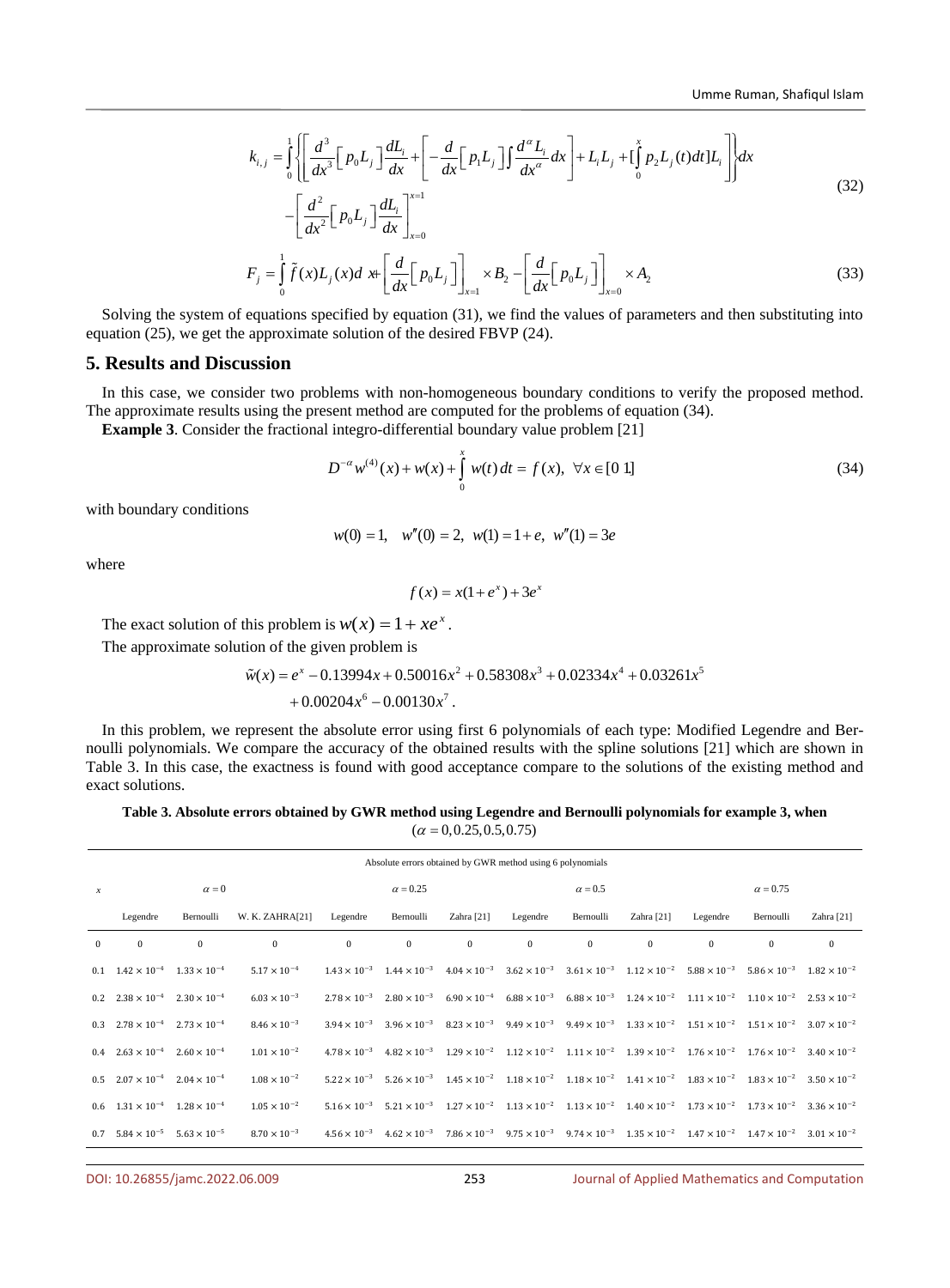$$
k_{i,j} = \int_{0}^{1} \left\{ \left[ \frac{d^{3}}{dx^{3}} \left[ p_{0} L_{j} \right] \frac{dL_{i}}{dx} + \left[ -\frac{d}{dx} \left[ p_{1} L_{j} \right] \int \frac{d^{a} L_{i}}{dx^{a}} dx \right] + L_{i} L_{j} + \left[ \int_{0}^{x} p_{2} L_{j}(t) dt \right] L_{i} \right] \right\} dx
$$
\n(32)

$$
-\left[\frac{d^2}{dx^2}\left[p_0L_j\right]\frac{dL_i}{dx}\right]_{x=0}^{x=1}
$$

$$
F_j = \int_0^1 \tilde{f}(x)L_j(x)dx + \left[\frac{d}{dx}\left[p_0L_j\right]\right]_{x=1} \times B_2 - \left[\frac{d}{dx}\left[p_0L_j\right]\right]_{x=0} \times A_2
$$
\n(33)

Solving the system of equations specified by equation (31), we find the values of parameters and then substituting into equation (25), we get the approximate solution of the desired FBVP (24).

### **5. Results and Discussion**

In this case, we consider two problems with non-homogeneous boundary conditions to verify the proposed method. The approximate results using the present method are computed for the problems of equation (34).

**Example 3**. Consider the fractional integro-differential boundary value problem [21]

$$
D^{-\alpha}w^{(4)}(x) + w(x) + \int_{0}^{x} w(t) dt = f(x), \ \forall x \in [0 \ 1]
$$
 (34)

with boundary conditions

$$
w(0) = 1
$$
,  $w''(0) = 2$ ,  $w(1) = 1 + e$ ,  $w''(1) = 3e$ 

where

$$
f(x) = x(1+e^x) + 3e^x
$$

The exact solution of this problem is  $w(x) = 1 + xe^{x}$ .

The approximate solution of the given problem is

$$
\tilde{w}(x) = e^x - 0.13994x + 0.50016x^2 + 0.58308x^3 + 0.02334x^4 + 0.03261x^5
$$
  
+ 0.00204x<sup>6</sup> - 0.00130x<sup>7</sup>.

In this problem, we represent the absolute error using first 6 polynomials of each type: Modified Legendre and Bernoulli polynomials. We compare the accuracy of the obtained results with the spline solutions [21] which are shown in Table 3. In this case, the exactness is found with good acceptance compare to the solutions of the existing method and exact solutions.

### **Table 3. Absolute errors obtained by GWR method using Legendre and Bernoulli polynomials for example 3, when**   $(\alpha = 0.0.25, 0.5, 0.75)$

|                  | Absolute errors obtained by GWR method using 6 polynomials |                       |                       |                       |                 |              |                |                                                                                                                                                                                                       |              |                 |              |            |
|------------------|------------------------------------------------------------|-----------------------|-----------------------|-----------------------|-----------------|--------------|----------------|-------------------------------------------------------------------------------------------------------------------------------------------------------------------------------------------------------|--------------|-----------------|--------------|------------|
| $\boldsymbol{x}$ |                                                            | $\alpha = 0$          |                       |                       | $\alpha = 0.25$ |              | $\alpha = 0.5$ |                                                                                                                                                                                                       |              | $\alpha = 0.75$ |              |            |
|                  | Legendre                                                   | Bernoulli             | W. K. ZAHRA[21]       | Legendre              | Bernoulli       | Zahra [21]   | Legendre       | Bernoulli                                                                                                                                                                                             | Zahra [21]   | Legendre        | Bernoulli    | Zahra [21] |
| $\Omega$         | $\bf{0}$                                                   | $\mathbf{0}$          | $\mathbf{0}$          | $\mathbf{0}$          | $\mathbf{0}$    | $\mathbf{0}$ | $\mathbf{0}$   | $\mathbf{0}$                                                                                                                                                                                          | $\mathbf{0}$ | $\mathbf{0}$    | $\mathbf{0}$ | $\bf{0}$   |
|                  | 0.1 $1.42 \times 10^{-4}$ $1.33 \times 10^{-4}$            |                       | $5.17 \times 10^{-4}$ |                       |                 |              |                | $1.43 \times 10^{-3}$ $1.44 \times 10^{-3}$ $4.04 \times 10^{-3}$ $3.62 \times 10^{-3}$ $3.61 \times 10^{-3}$ $1.12 \times 10^{-2}$ $5.88 \times 10^{-3}$ $5.86 \times 10^{-3}$ $1.82 \times 10^{-2}$ |              |                 |              |            |
|                  | $0.2 \quad 2.38 \times 10^{-4}$                            | $2.30 \times 10^{-4}$ | $6.03 \times 10^{-3}$ | $2.78 \times 10^{-3}$ |                 |              |                | $2.80 \times 10^{-3}$ $6.90 \times 10^{-4}$ $6.88 \times 10^{-3}$ $6.88 \times 10^{-3}$ $1.24 \times 10^{-2}$ $1.11 \times 10^{-2}$ $1.10 \times 10^{-2}$ $2.53 \times 10^{-2}$                       |              |                 |              |            |
|                  | $0.3$ $2.78 \times 10^{-4}$                                | $2.73 \times 10^{-4}$ | $8.46 \times 10^{-3}$ | $3.94 \times 10^{-3}$ |                 |              |                | $3.96 \times 10^{-3}$ $8.23 \times 10^{-3}$ $9.49 \times 10^{-3}$ $9.49 \times 10^{-3}$ $1.33 \times 10^{-2}$ $1.51 \times 10^{-2}$ $1.51 \times 10^{-2}$ $3.07 \times 10^{-2}$                       |              |                 |              |            |
|                  | $0.4$ $2.63 \times 10^{-4}$                                | $2.60 \times 10^{-4}$ | $1.01 \times 10^{-2}$ | $4.78 \times 10^{-3}$ |                 |              |                | $4.82 \times 10^{-3}$ $1.29 \times 10^{-2}$ $1.12 \times 10^{-2}$ $1.11 \times 10^{-2}$ $1.39 \times 10^{-2}$ $1.76 \times 10^{-2}$ $1.76 \times 10^{-2}$ $3.40 \times 10^{-2}$                       |              |                 |              |            |
|                  | $0.5 \t2.07 \times 10^{-4}$                                | $2.04 \times 10^{-4}$ | $1.08 \times 10^{-2}$ | $5.22 \times 10^{-3}$ |                 |              |                | $5.26 \times 10^{-3}$ $1.45 \times 10^{-2}$ $1.18 \times 10^{-2}$ $1.18 \times 10^{-2}$ $1.41 \times 10^{-2}$ $1.83 \times 10^{-2}$ $1.83 \times 10^{-2}$ $3.50 \times 10^{-2}$                       |              |                 |              |            |
|                  | $0.6 \quad 1.31 \times 10^{-4} \quad 1.28 \times 10^{-4}$  |                       | $1.05 \times 10^{-2}$ | $5.16 \times 10^{-3}$ |                 |              |                | $5.21 \times 10^{-3}$ $1.27 \times 10^{-2}$ $1.13 \times 10^{-2}$ $1.13 \times 10^{-2}$ $1.40 \times 10^{-2}$ $1.73 \times 10^{-2}$ $1.73 \times 10^{-2}$ $3.36 \times 10^{-2}$                       |              |                 |              |            |
|                  | $0.7$ 5.84 $\times$ 10 <sup>-5</sup>                       | $5.63 \times 10^{-5}$ | $8.70 \times 10^{-3}$ | $4.56 \times 10^{-3}$ |                 |              |                | $4.62 \times 10^{-3}$ $7.86 \times 10^{-3}$ $9.75 \times 10^{-3}$ $9.74 \times 10^{-3}$ $1.35 \times 10^{-2}$ $1.47 \times 10^{-2}$ $1.47 \times 10^{-2}$ $3.01 \times 10^{-2}$                       |              |                 |              |            |
|                  |                                                            |                       |                       |                       |                 |              |                |                                                                                                                                                                                                       |              |                 |              |            |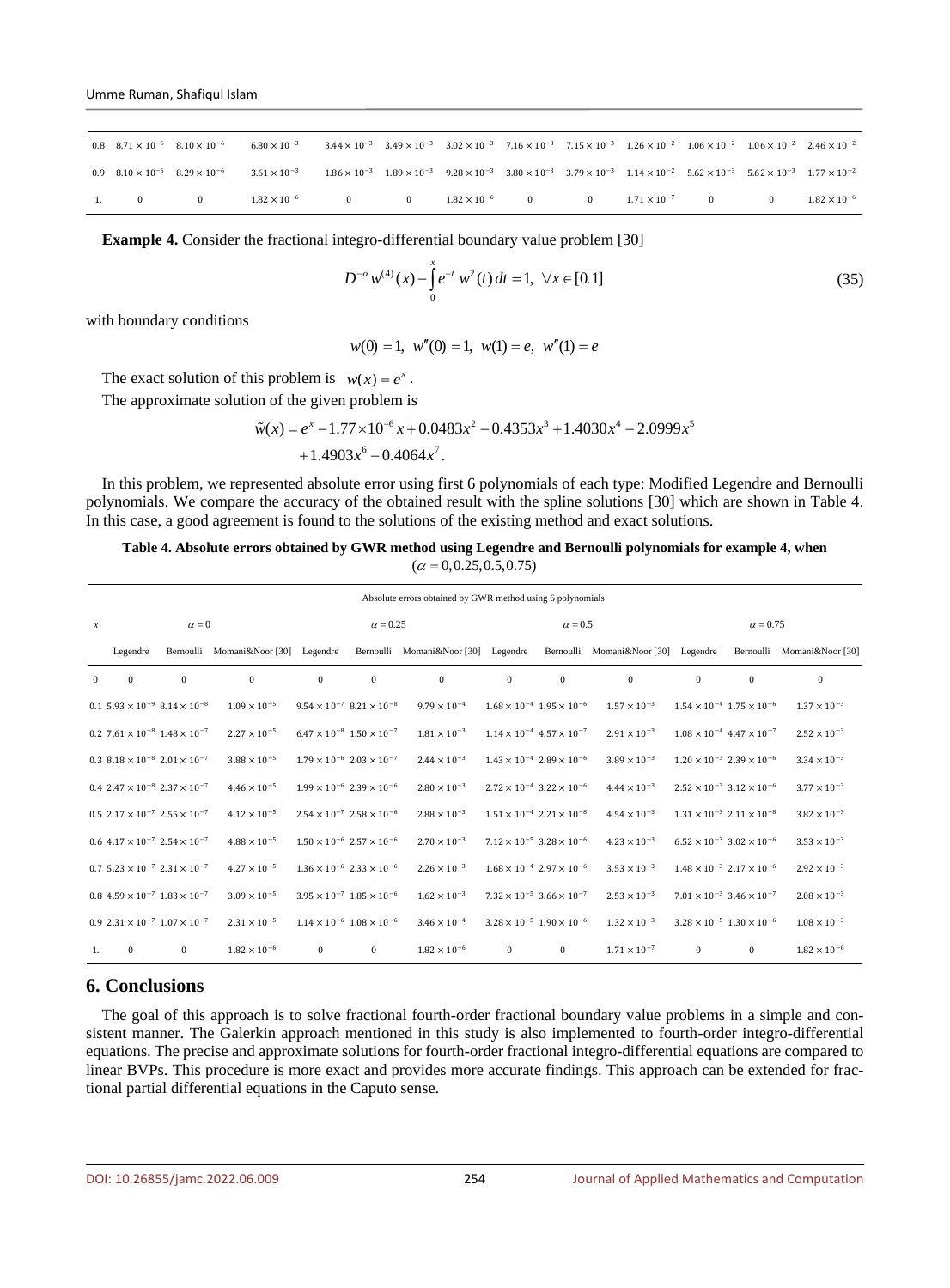| 0.8 $8.71 \times 10^{-6}$ $8.10 \times 10^{-6}$ |          | $6.80 \times 10^{-3}$                                                                                                                                                                                                                                                       | $3.44 \times 10^{-3}$ $3.49 \times 10^{-3}$ $3.02 \times 10^{-3}$ $7.16 \times 10^{-3}$ $7.15 \times 10^{-3}$ $1.26 \times 10^{-2}$ $1.06 \times 10^{-2}$ $1.06 \times 10^{-2}$ $2.46 \times 10^{-2}$ |                           |  |                         |          |          |                       |
|-------------------------------------------------|----------|-----------------------------------------------------------------------------------------------------------------------------------------------------------------------------------------------------------------------------------------------------------------------------|-------------------------------------------------------------------------------------------------------------------------------------------------------------------------------------------------------|---------------------------|--|-------------------------|----------|----------|-----------------------|
|                                                 |          | 0.9 $8.10 \times 10^{-6}$ $8.29 \times 10^{-6}$ $3.61 \times 10^{-3}$ $1.86 \times 10^{-3}$ $1.89 \times 10^{-3}$ $9.28 \times 10^{-3}$ $3.80 \times 10^{-3}$ $3.79 \times 10^{-3}$ $1.14 \times 10^{-2}$ $5.62 \times 10^{-3}$ $5.62 \times 10^{-3}$ $1.77 \times 10^{-2}$ |                                                                                                                                                                                                       |                           |  |                         |          |          |                       |
| $\Omega$                                        | $\Omega$ | $1.82 \times 10^{-6}$                                                                                                                                                                                                                                                       | $\mathbf{0}$                                                                                                                                                                                          | 0 $1.82 \times 10^{-6}$ 0 |  | 0 $1.71 \times 10^{-7}$ | $\bf{0}$ | $\Omega$ | $1.82 \times 10^{-6}$ |

**Example 4.** Consider the fractional integro-differential boundary value problem [30]

$$
D^{-\alpha} w^{(4)}(x) - \int_{0}^{x} e^{-t} w^{2}(t) dt = 1, \ \forall x \in [0, 1]
$$
\n(35)

with boundary conditions

$$
w(0) = 1
$$
,  $w''(0) = 1$ ,  $w(1) = e$ ,  $w''(1) = e$ 

The exact solution of this problem is  $w(x) = e^x$ .

The approximate solution of the given problem is

$$
\tilde{w}(x) = e^x - 1.77 \times 10^{-6} x + 0.0483 x^2 - 0.4353 x^3 + 1.4030 x^4 - 2.0999 x^5 + 1.4903 x^6 - 0.4064 x^7.
$$

In this problem, we represented absolute error using first 6 polynomials of each type: Modified Legendre and Bernoulli polynomials. We compare the accuracy of the obtained result with the spline solutions [30] which are shown in Table 4. In this case, a good agreement is found to the solutions of the existing method and exact solutions.

**Table 4. Absolute errors obtained by GWR method using Legendre and Bernoulli polynomials for example 4, when**   $(\alpha = 0.0.25, 0.5, 0.75)$ 

|                  | Absolute errors obtained by GWR method using 6 polynomials          |              |                            |                                             |                                                      |                                     |                                             |                |                           |                                             |                                             |                            |
|------------------|---------------------------------------------------------------------|--------------|----------------------------|---------------------------------------------|------------------------------------------------------|-------------------------------------|---------------------------------------------|----------------|---------------------------|---------------------------------------------|---------------------------------------------|----------------------------|
| $\boldsymbol{x}$ | $\alpha = 0$                                                        |              |                            |                                             | $\alpha = 0.25$                                      |                                     |                                             | $\alpha = 0.5$ |                           | $\alpha = 0.75$                             |                                             |                            |
|                  | Legendre                                                            |              | Bernoulli Momani&Noor [30] | Legendre                                    |                                                      | Bernoulli Momani&Noor [30] Legendre |                                             | Bernoulli      | Momani&Noor [30] Legendre |                                             |                                             | Bernoulli Momani&Noor [30] |
| $\Omega$         | $\mathbf{0}$                                                        | $\mathbf{0}$ | $\Omega$                   | $\bf{0}$                                    | $\Omega$                                             | $\mathbf{0}$                        | $\Omega$                                    | $\Omega$       | $\mathbf{0}$              | $\Omega$                                    | $\bf{0}$                                    | $\Omega$                   |
|                  | $0.1\;5.93\times10^{-9}\;8.14\times10^{-8}$                         |              | $1.09 \times 10^{-5}$      |                                             | $9.54 \times 10^{-7}$ 8.21 $\times$ 10 <sup>-8</sup> | $9.79 \times 10^{-4}$               | $1.68 \times 10^{-4}$ $1.95 \times 10^{-6}$ |                | $1.57 \times 10^{-3}$     | $1.54 \times 10^{-4}$ $1.75 \times 10^{-6}$ |                                             | $1.37 \times 10^{-3}$      |
|                  | $0.2$ 7.61 $\times$ 10 <sup>-8</sup> 1.48 $\times$ 10 <sup>-7</sup> |              | $2.27 \times 10^{-5}$      |                                             | $6.47 \times 10^{-8}$ $1.50 \times 10^{-7}$          | $1.81 \times 10^{-3}$               | $1.14 \times 10^{-4}$ 4.57 $\times 10^{-7}$ |                | $2.91 \times 10^{-3}$     | $1.08 \times 10^{-4}$ 4.47 $\times 10^{-7}$ |                                             | $2.52 \times 10^{-3}$      |
|                  | 0.3 $8.18 \times 10^{-8}$ $2.01 \times 10^{-7}$                     |              | $3.88 \times 10^{-5}$      | $1.79 \times 10^{-6}$ $2.03 \times 10^{-7}$ |                                                      | $2.44 \times 10^{-3}$               | $1.43 \times 10^{-4}$ $2.89 \times 10^{-6}$ |                | $3.89 \times 10^{-3}$     | $1.20 \times 10^{-3}$ $2.39 \times 10^{-6}$ |                                             | $3.34 \times 10^{-3}$      |
|                  | $0.4 \; 2.47 \times 10^{-8} \; 2.37 \times 10^{-7}$                 |              | $4.46 \times 10^{-5}$      |                                             | $1.99 \times 10^{-6}$ $2.39 \times 10^{-6}$          | $2.80 \times 10^{-3}$               | $2.72 \times 10^{-4}$ 3.22 $\times 10^{-6}$ |                | $4.44 \times 10^{-3}$     | $2.52 \times 10^{-3}$ 3.12 $\times 10^{-6}$ |                                             | $3.77 \times 10^{-3}$      |
|                  | $0.5 \; 2.17 \times 10^{-7} \; 2.55 \times 10^{-7}$                 |              | $4.12 \times 10^{-5}$      |                                             | $2.54 \times 10^{-7}$ $2.58 \times 10^{-6}$          | $2.88 \times 10^{-3}$               | $1.51 \times 10^{-4}$ $2.21 \times 10^{-8}$ |                | $4.54 \times 10^{-3}$     | $1.31 \times 10^{-3}$ $2.11 \times 10^{-8}$ |                                             | $3.82\times10^{-3}$        |
|                  | $0.6$ 4.17 $\times$ $10^{-7}$ 2.54 $\times$ $10^{-7}$               |              | $4.88 \times 10^{-5}$      |                                             | $1.50 \times 10^{-6}$ $2.57 \times 10^{-6}$          | $2.70 \times 10^{-3}$               | $7.12 \times 10^{-5}$ 3.28 $\times 10^{-6}$ |                | $4.23 \times 10^{-3}$     |                                             | $6.52 \times 10^{-3}$ 3.02 $\times 10^{-6}$ | $3.53 \times 10^{-3}$      |
|                  | $0.7$ 5.23 $\times$ 10 <sup>-7</sup> 2.31 $\times$ 10 <sup>-7</sup> |              | $4.27 \times 10^{-5}$      |                                             | $1.36 \times 10^{-6}$ $2.33 \times 10^{-6}$          | $2.26 \times 10^{-3}$               | $1.68 \times 10^{-4}$ $2.97 \times 10^{-6}$ |                | $3.53 \times 10^{-3}$     | $1.48 \times 10^{-3}$ $2.17 \times 10^{-6}$ |                                             | $2.92 \times 10^{-3}$      |
|                  | $0.8$ 4.59 $\times$ 10 <sup>-7</sup> 1.83 $\times$ 10 <sup>-7</sup> |              | $3.09 \times 10^{-5}$      |                                             | $3.95 \times 10^{-7}$ 1.85 $\times 10^{-6}$          | $1.62 \times 10^{-3}$               | $7.32 \times 10^{-5}$ 3.66 $\times 10^{-7}$ |                | $2.53 \times 10^{-3}$     | $7.01 \times 10^{-3}$ 3.46 $\times 10^{-7}$ |                                             | $2.08 \times 10^{-3}$      |
|                  | 0.9 $2.31 \times 10^{-7}$ $1.07 \times 10^{-7}$                     |              | $2.31 \times 10^{-5}$      | $1.14 \times 10^{-6}$ $1.08 \times 10^{-6}$ |                                                      | $3.46 \times 10^{-4}$               | $3.28 \times 10^{-5}$ 1.90 $\times 10^{-6}$ |                | $1.32 \times 10^{-3}$     | $3.28 \times 10^{-5}$ $1.30 \times 10^{-6}$ |                                             | $1.08 \times 10^{-3}$      |
| 1.               | $\bf{0}$                                                            | $\bf{0}$     | $1.82 \times 10^{-6}$      | $\mathbf{0}$                                | $\bf{0}$                                             | $1.82 \times 10^{-6}$               | $\mathbf{0}$                                | $\mathbf{0}$   | $1.71 \times 10^{-7}$     | $\mathbf{0}$                                | $\mathbf{0}$                                | $1.82 \times 10^{-6}$      |

### **6. Conclusions**

The goal of this approach is to solve fractional fourth-order fractional boundary value problems in a simple and consistent manner. The Galerkin approach mentioned in this study is also implemented to fourth-order integro-differential equations. The precise and approximate solutions for fourth-order fractional integro-differential equations are compared to linear BVPs. This procedure is more exact and provides more accurate findings. This approach can be extended for fractional partial differential equations in the Caputo sense.